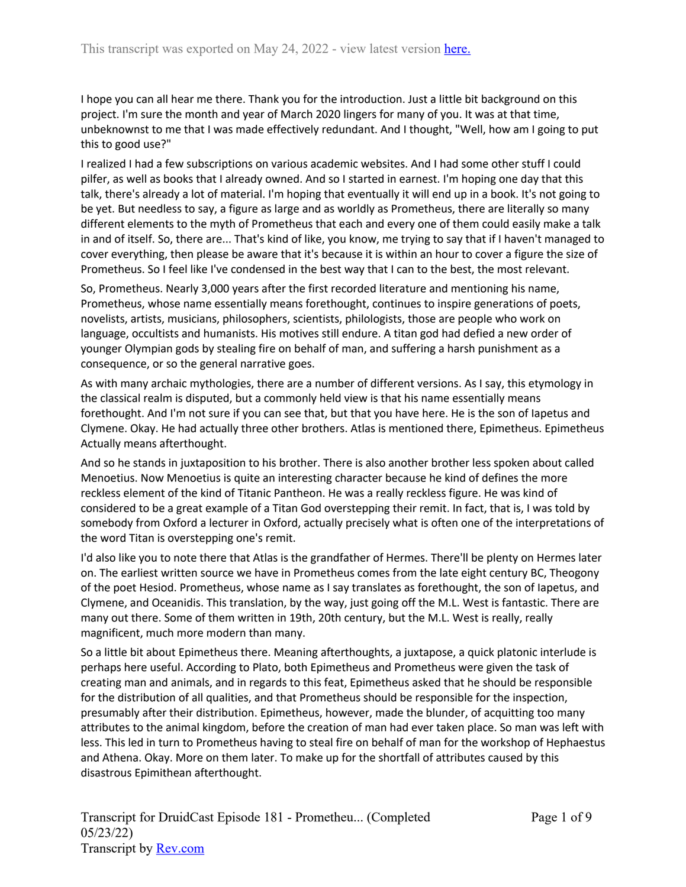I hope you can all hear me there. Thank you for the introduction. Just a little bit background on this project. I'm sure the month and year of March 2020 lingers for many of you. It was at that time, unbeknownst to me that I was made effectively redundant. And I thought, "Well, how am I going to put this to good use?"

I realized I had a few subscriptions on various academic websites. And I had some other stuff I could pilfer, as well as books that I already owned. And so I started in earnest. I'm hoping one day that this talk, there's already a lot of material. I'm hoping that eventually it will end up in a book. It's not going to be yet. But needless to say, a figure as large and as worldly as Prometheus, there are literally so many different elements to the myth of Prometheus that each and every one of them could easily make a talk in and of itself. So, there are... That's kind of like, you know, me trying to say that if I haven't managed to cover everything, then please be aware that it's because it is within an hour to cover a figure the size of Prometheus. So I feel like I've condensed in the best way that I can to the best, the most relevant.

So, Prometheus. Nearly 3,000 years after the first recorded literature and mentioning his name, Prometheus, whose name essentially means forethought, continues to inspire generations of poets, novelists, artists, musicians, philosophers, scientists, philologists, those are people who work on language, occultists and humanists. His motives still endure. A titan god had defied a new order of younger Olympian gods by stealing fire on behalf of man, and suffering a harsh punishment as a consequence, or so the general narrative goes.

As with many archaic mythologies, there are a number of different versions. As I say, this etymology in the classical realm is disputed, but a commonly held view is that his name essentially means forethought. And I'm not sure if you can see that, but that you have here. He is the son of Iapetus and Clymene. Okay. He had actually three other brothers. Atlas is mentioned there, Epimetheus. Epimetheus Actually means afterthought.

And so he stands in juxtaposition to his brother. There is also another brother less spoken about called Menoetius. Now Menoetius is quite an interesting character because he kind of defines the more reckless element of the kind of Titanic Pantheon. He was a really reckless figure. He was kind of considered to be a great example of a Titan God overstepping their remit. In fact, that is, I was told by somebody from Oxford a lecturer in Oxford, actually precisely what is often one of the interpretations of the word Titan is overstepping one's remit.

I'd also like you to note there that Atlas is the grandfather of Hermes. There'll be plenty on Hermes later on. The earliest written source we have in Prometheus comes from the late eight century BC, Theogony of the poet Hesiod. Prometheus, whose name as I say translates as forethought, the son of Iapetus, and Clymene, and Oceanidis. This translation, by the way, just going off the M.L. West is fantastic. There are many out there. Some of them written in 19th, 20th century, but the M.L. West is really, really magnificent, much more modern than many.

So a little bit about Epimetheus there. Meaning afterthoughts, a juxtapose, a quick platonic interlude is perhaps here useful. According to Plato, both Epimetheus and Prometheus were given the task of creating man and animals, and in regards to this feat, Epimetheus asked that he should be responsible for the distribution of all qualities, and that Prometheus should be responsible for the inspection, presumably after their distribution. Epimetheus, however, made the blunder, of acquitting too many attributes to the animal kingdom, before the creation of man had ever taken place. So man was left with less. This led in turn to Prometheus having to steal fire on behalf of man for the workshop of Hephaestus and Athena. Okay. More on them later. To make up for the shortfall of attributes caused by this disastrous Epimithean afterthought.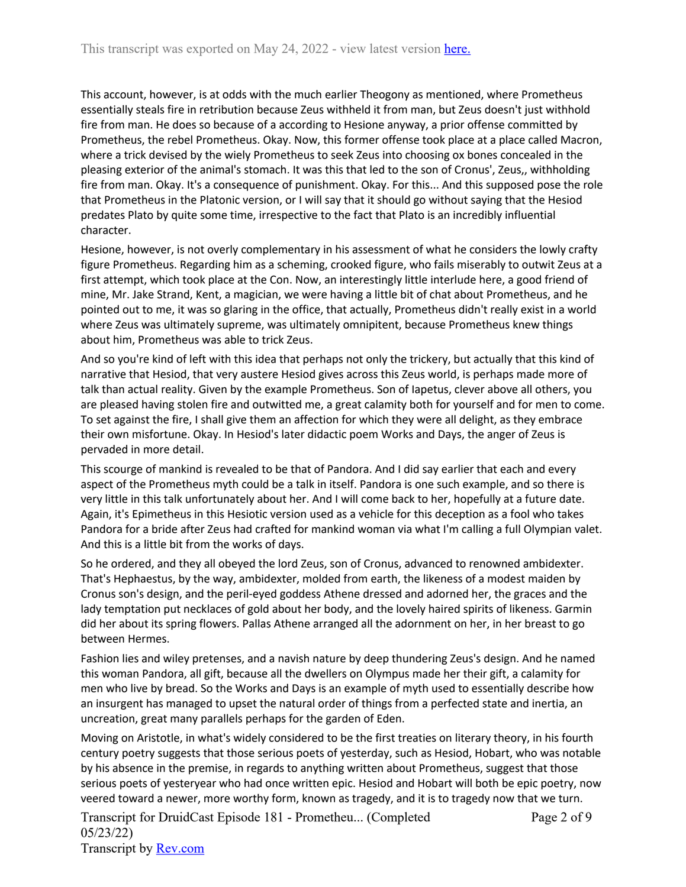This account, however, is at odds with the much earlier Theogony as mentioned, where Prometheus essentially steals fire in retribution because Zeus withheld it from man, but Zeus doesn't just withhold fire from man. He does so because of a according to Hesione anyway, a prior offense committed by Prometheus, the rebel Prometheus. Okay. Now, this former offense took place at a place called Macron, where a trick devised by the wiely Prometheus to seek Zeus into choosing ox bones concealed in the pleasing exterior of the animal's stomach. It was this that led to the son of Cronus', Zeus,, withholding fire from man. Okay. It's a consequence of punishment. Okay. For this... And this supposed pose the role that Prometheus in the Platonic version, or I will say that it should go without saying that the Hesiod predates Plato by quite some time, irrespective to the fact that Plato is an incredibly influential character.

Hesione, however, is not overly complementary in his assessment of what he considers the lowly crafty figure Prometheus. Regarding him as a scheming, crooked figure, who fails miserably to outwit Zeus at a first attempt, which took place at the Con. Now, an interestingly little interlude here, a good friend of mine, Mr. Jake Strand, Kent, a magician, we were having a little bit of chat about Prometheus, and he pointed out to me, it was so glaring in the office, that actually, Prometheus didn't really exist in a world where Zeus was ultimately supreme, was ultimately omnipitent, because Prometheus knew things about him, Prometheus was able to trick Zeus.

And so you're kind of left with this idea that perhaps not only the trickery, but actually that this kind of narrative that Hesiod, that very austere Hesiod gives across this Zeus world, is perhaps made more of talk than actual reality. Given by the example Prometheus. Son of Iapetus, clever above all others, you are pleased having stolen fire and outwitted me, a great calamity both for yourself and for men to come. To set against the fire, I shall give them an affection for which they were all delight, as they embrace their own misfortune. Okay. In Hesiod's later didactic poem Works and Days, the anger of Zeus is pervaded in more detail.

This scourge of mankind is revealed to be that of Pandora. And I did say earlier that each and every aspect of the Prometheus myth could be a talk in itself. Pandora is one such example, and so there is very little in this talk unfortunately about her. And I will come back to her, hopefully at a future date. Again, it's Epimetheus in this Hesiotic version used as a vehicle for this deception as a fool who takes Pandora for a bride after Zeus had crafted for mankind woman via what I'm calling a full Olympian valet. And this is a little bit from the works of days.

So he ordered, and they all obeyed the lord Zeus, son of Cronus, advanced to renowned ambidexter. That's Hephaestus, by the way, ambidexter, molded from earth, the likeness of a modest maiden by Cronus son's design, and the peril-eyed goddess Athene dressed and adorned her, the graces and the lady temptation put necklaces of gold about her body, and the lovely haired spirits of likeness. Garmin did her about its spring flowers. Pallas Athene arranged all the adornment on her, in her breast to go between Hermes.

Fashion lies and wiley pretenses, and a navish nature by deep thundering Zeus's design. And he named this woman Pandora, all gift, because all the dwellers on Olympus made her their gift, a calamity for men who live by bread. So the Works and Days is an example of myth used to essentially describe how an insurgent has managed to upset the natural order of things from a perfected state and inertia, an uncreation, great many parallels perhaps for the garden of Eden.

Moving on Aristotle, in what's widely considered to be the first treaties on literary theory, in his fourth century poetry suggests that those serious poets of yesterday, such as Hesiod, Hobart, who was notable by his absence in the premise, in regards to anything written about Prometheus, suggest that those serious poets of yesteryear who had once written epic. Hesiod and Hobart will both be epic poetry, now veered toward a newer, more worthy form, known as tragedy, and it is to tragedy now that we turn.

Transcript for DruidCast Episode 181 - Prometheu... (Completed 05/23/22) Transcript by [Rev.com](https://www.rev.com/) Page 2 of 9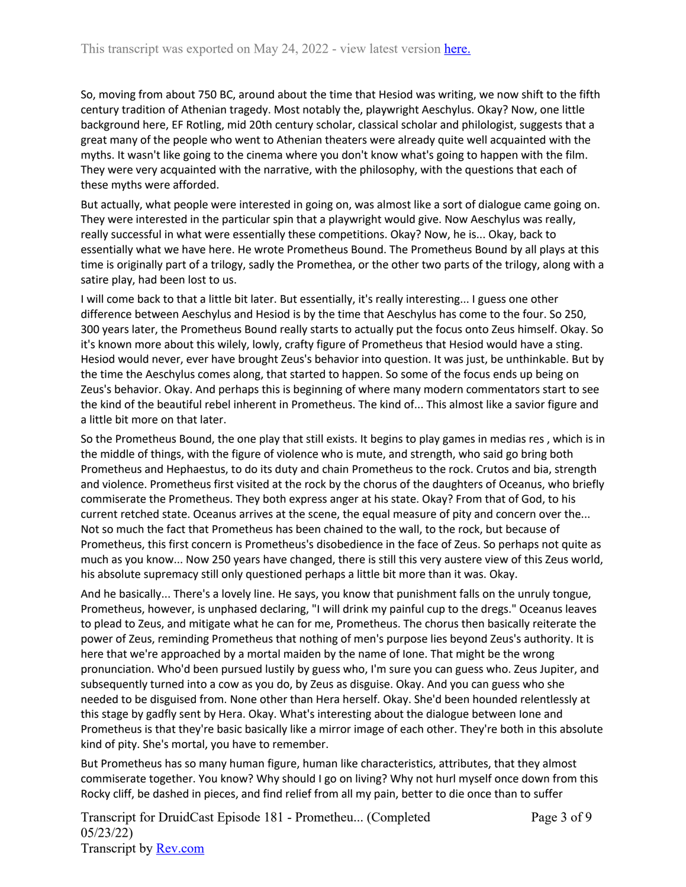So, moving from about 750 BC, around about the time that Hesiod was writing, we now shift to the fifth century tradition of Athenian tragedy. Most notably the, playwright Aeschylus. Okay? Now, one little background here, EF Rotling, mid 20th century scholar, classical scholar and philologist, suggests that a great many of the people who went to Athenian theaters were already quite well acquainted with the myths. It wasn't like going to the cinema where you don't know what's going to happen with the film. They were very acquainted with the narrative, with the philosophy, with the questions that each of these myths were afforded.

But actually, what people were interested in going on, was almost like a sort of dialogue came going on. They were interested in the particular spin that a playwright would give. Now Aeschylus was really, really successful in what were essentially these competitions. Okay? Now, he is... Okay, back to essentially what we have here. He wrote Prometheus Bound. The Prometheus Bound by all plays at this time is originally part of a trilogy, sadly the Promethea, or the other two parts of the trilogy, along with a satire play, had been lost to us.

I will come back to that a little bit later. But essentially, it's really interesting... I guess one other difference between Aeschylus and Hesiod is by the time that Aeschylus has come to the four. So 250, 300 years later, the Prometheus Bound really starts to actually put the focus onto Zeus himself. Okay. So it's known more about this wilely, lowly, crafty figure of Prometheus that Hesiod would have a sting. Hesiod would never, ever have brought Zeus's behavior into question. It was just, be unthinkable. But by the time the Aeschylus comes along, that started to happen. So some of the focus ends up being on Zeus's behavior. Okay. And perhaps this is beginning of where many modern commentators start to see the kind of the beautiful rebel inherent in Prometheus. The kind of... This almost like a savior figure and a little bit more on that later.

So the Prometheus Bound, the one play that still exists. It begins to play games in medias res , which is in the middle of things, with the figure of violence who is mute, and strength, who said go bring both Prometheus and Hephaestus, to do its duty and chain Prometheus to the rock. Crutos and bia, strength and violence. Prometheus first visited at the rock by the chorus of the daughters of Oceanus, who briefly commiserate the Prometheus. They both express anger at his state. Okay? From that of God, to his current retched state. Oceanus arrives at the scene, the equal measure of pity and concern over the... Not so much the fact that Prometheus has been chained to the wall, to the rock, but because of Prometheus, this first concern is Prometheus's disobedience in the face of Zeus. So perhaps not quite as much as you know... Now 250 years have changed, there is still this very austere view of this Zeus world, his absolute supremacy still only questioned perhaps a little bit more than it was. Okay.

And he basically... There's a lovely line. He says, you know that punishment falls on the unruly tongue, Prometheus, however, is unphased declaring, "I will drink my painful cup to the dregs." Oceanus leaves to plead to Zeus, and mitigate what he can for me, Prometheus. The chorus then basically reiterate the power of Zeus, reminding Prometheus that nothing of men's purpose lies beyond Zeus's authority. It is here that we're approached by a mortal maiden by the name of Ione. That might be the wrong pronunciation. Who'd been pursued lustily by guess who, I'm sure you can guess who. Zeus Jupiter, and subsequently turned into a cow as you do, by Zeus as disguise. Okay. And you can guess who she needed to be disguised from. None other than Hera herself. Okay. She'd been hounded relentlessly at this stage by gadfly sent by Hera. Okay. What's interesting about the dialogue between Ione and Prometheus is that they're basic basically like a mirror image of each other. They're both in this absolute kind of pity. She's mortal, you have to remember.

But Prometheus has so many human figure, human like characteristics, attributes, that they almost commiserate together. You know? Why should I go on living? Why not hurl myself once down from this Rocky cliff, be dashed in pieces, and find relief from all my pain, better to die once than to suffer

Transcript for DruidCast Episode 181 - Prometheu... (Completed 05/23/22) Transcript by [Rev.com](https://www.rev.com/)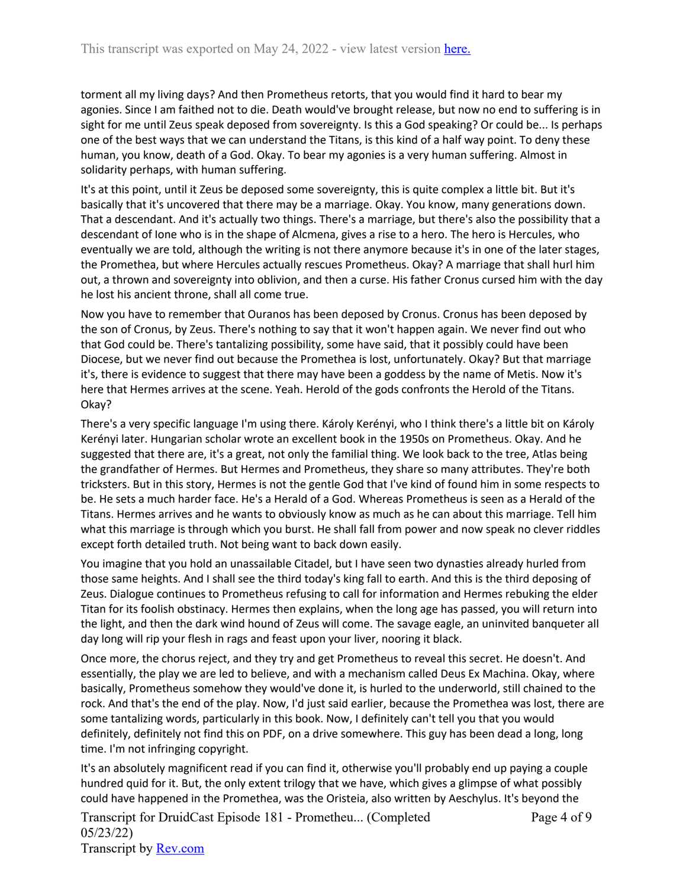torment all my living days? And then Prometheus retorts, that you would find it hard to bear my agonies. Since I am faithed not to die. Death would've brought release, but now no end to suffering is in sight for me until Zeus speak deposed from sovereignty. Is this a God speaking? Or could be... Is perhaps one of the best ways that we can understand the Titans, is this kind of a half way point. To deny these human, you know, death of a God. Okay. To bear my agonies is a very human suffering. Almost in solidarity perhaps, with human suffering.

It's at this point, until it Zeus be deposed some sovereignty, this is quite complex a little bit. But it's basically that it's uncovered that there may be a marriage. Okay. You know, many generations down. That a descendant. And it's actually two things. There's a marriage, but there's also the possibility that a descendant of Ione who is in the shape of Alcmena, gives a rise to a hero. The hero is Hercules, who eventually we are told, although the writing is not there anymore because it's in one of the later stages, the Promethea, but where Hercules actually rescues Prometheus. Okay? A marriage that shall hurl him out, a thrown and sovereignty into oblivion, and then a curse. His father Cronus cursed him with the day he lost his ancient throne, shall all come true.

Now you have to remember that Ouranos has been deposed by Cronus. Cronus has been deposed by the son of Cronus, by Zeus. There's nothing to say that it won't happen again. We never find out who that God could be. There's tantalizing possibility, some have said, that it possibly could have been Diocese, but we never find out because the Promethea is lost, unfortunately. Okay? But that marriage it's, there is evidence to suggest that there may have been a goddess by the name of Metis. Now it's here that Hermes arrives at the scene. Yeah. Herold of the gods confronts the Herold of the Titans. Okay?

There's a very specific language I'm using there. Károly Kerényi, who I think there's a little bit on Károly Kerényi later. Hungarian scholar wrote an excellent book in the 1950s on Prometheus. Okay. And he suggested that there are, it's a great, not only the familial thing. We look back to the tree, Atlas being the grandfather of Hermes. But Hermes and Prometheus, they share so many attributes. They're both tricksters. But in this story, Hermes is not the gentle God that I've kind of found him in some respects to be. He sets a much harder face. He's a Herald of a God. Whereas Prometheus is seen as a Herald of the Titans. Hermes arrives and he wants to obviously know as much as he can about this marriage. Tell him what this marriage is through which you burst. He shall fall from power and now speak no clever riddles except forth detailed truth. Not being want to back down easily.

You imagine that you hold an unassailable Citadel, but I have seen two dynasties already hurled from those same heights. And I shall see the third today's king fall to earth. And this is the third deposing of Zeus. Dialogue continues to Prometheus refusing to call for information and Hermes rebuking the elder Titan for its foolish obstinacy. Hermes then explains, when the long age has passed, you will return into the light, and then the dark wind hound of Zeus will come. The savage eagle, an uninvited banqueter all day long will rip your flesh in rags and feast upon your liver, nooring it black.

Once more, the chorus reject, and they try and get Prometheus to reveal this secret. He doesn't. And essentially, the play we are led to believe, and with a mechanism called Deus Ex Machina. Okay, where basically, Prometheus somehow they would've done it, is hurled to the underworld, still chained to the rock. And that's the end of the play. Now, I'd just said earlier, because the Promethea was lost, there are some tantalizing words, particularly in this book. Now, I definitely can't tell you that you would definitely, definitely not find this on PDF, on a drive somewhere. This guy has been dead a long, long time. I'm not infringing copyright.

It's an absolutely magnificent read if you can find it, otherwise you'll probably end up paying a couple hundred quid for it. But, the only extent trilogy that we have, which gives a glimpse of what possibly could have happened in the Promethea, was the Oristeia, also written by Aeschylus. It's beyond the

Transcript for DruidCast Episode 181 - Prometheu... (Completed 05/23/22) Transcript by [Rev.com](https://www.rev.com/) Page 4 of 9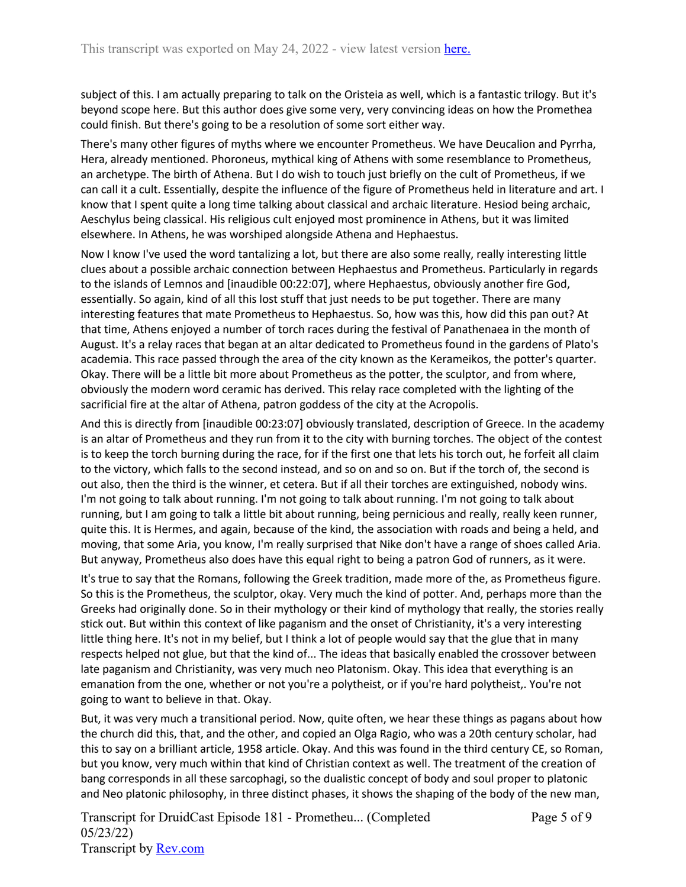subject of this. I am actually preparing to talk on the Oristeia as well, which is a fantastic trilogy. But it's beyond scope here. But this author does give some very, very convincing ideas on how the Promethea could finish. But there's going to be a resolution of some sort either way.

There's many other figures of myths where we encounter Prometheus. We have Deucalion and Pyrrha, Hera, already mentioned. Phoroneus, mythical king of Athens with some resemblance to Prometheus, an archetype. The birth of Athena. But I do wish to touch just briefly on the cult of Prometheus, if we can call it a cult. Essentially, despite the influence of the figure of Prometheus held in literature and art. I know that I spent quite a long time talking about classical and archaic literature. Hesiod being archaic, Aeschylus being classical. His religious cult enjoyed most prominence in Athens, but it was limited elsewhere. In Athens, he was worshiped alongside Athena and Hephaestus.

Now I know I've used the word tantalizing a lot, but there are also some really, really interesting little clues about a possible archaic connection between Hephaestus and Prometheus. Particularly in regards to the islands of Lemnos and [inaudible 00:22:07], where Hephaestus, obviously another fire God, essentially. So again, kind of all this lost stuff that just needs to be put together. There are many interesting features that mate Prometheus to Hephaestus. So, how was this, how did this pan out? At that time, Athens enjoyed a number of torch races during the festival of Panathenaea in the month of August. It's a relay races that began at an altar dedicated to Prometheus found in the gardens of Plato's academia. This race passed through the area of the city known as the Kerameikos, the potter's quarter. Okay. There will be a little bit more about Prometheus as the potter, the sculptor, and from where, obviously the modern word ceramic has derived. This relay race completed with the lighting of the sacrificial fire at the altar of Athena, patron goddess of the city at the Acropolis.

And this is directly from [inaudible 00:23:07] obviously translated, description of Greece. In the academy is an altar of Prometheus and they run from it to the city with burning torches. The object of the contest is to keep the torch burning during the race, for if the first one that lets his torch out, he forfeit all claim to the victory, which falls to the second instead, and so on and so on. But if the torch of, the second is out also, then the third is the winner, et cetera. But if all their torches are extinguished, nobody wins. I'm not going to talk about running. I'm not going to talk about running. I'm not going to talk about running, but I am going to talk a little bit about running, being pernicious and really, really keen runner, quite this. It is Hermes, and again, because of the kind, the association with roads and being a held, and moving, that some Aria, you know, I'm really surprised that Nike don't have a range of shoes called Aria. But anyway, Prometheus also does have this equal right to being a patron God of runners, as it were.

It's true to say that the Romans, following the Greek tradition, made more of the, as Prometheus figure. So this is the Prometheus, the sculptor, okay. Very much the kind of potter. And, perhaps more than the Greeks had originally done. So in their mythology or their kind of mythology that really, the stories really stick out. But within this context of like paganism and the onset of Christianity, it's a very interesting little thing here. It's not in my belief, but I think a lot of people would say that the glue that in many respects helped not glue, but that the kind of... The ideas that basically enabled the crossover between late paganism and Christianity, was very much neo Platonism. Okay. This idea that everything is an emanation from the one, whether or not you're a polytheist, or if you're hard polytheist,. You're not going to want to believe in that. Okay.

But, it was very much a transitional period. Now, quite often, we hear these things as pagans about how the church did this, that, and the other, and copied an Olga Ragio, who was a 20th century scholar, had this to say on a brilliant article, 1958 article. Okay. And this was found in the third century CE, so Roman, but you know, very much within that kind of Christian context as well. The treatment of the creation of bang corresponds in all these sarcophagi, so the dualistic concept of body and soul proper to platonic and Neo platonic philosophy, in three distinct phases, it shows the shaping of the body of the new man,

Transcript for DruidCast Episode 181 - Prometheu... (Completed 05/23/22) Transcript by [Rev.com](https://www.rev.com/)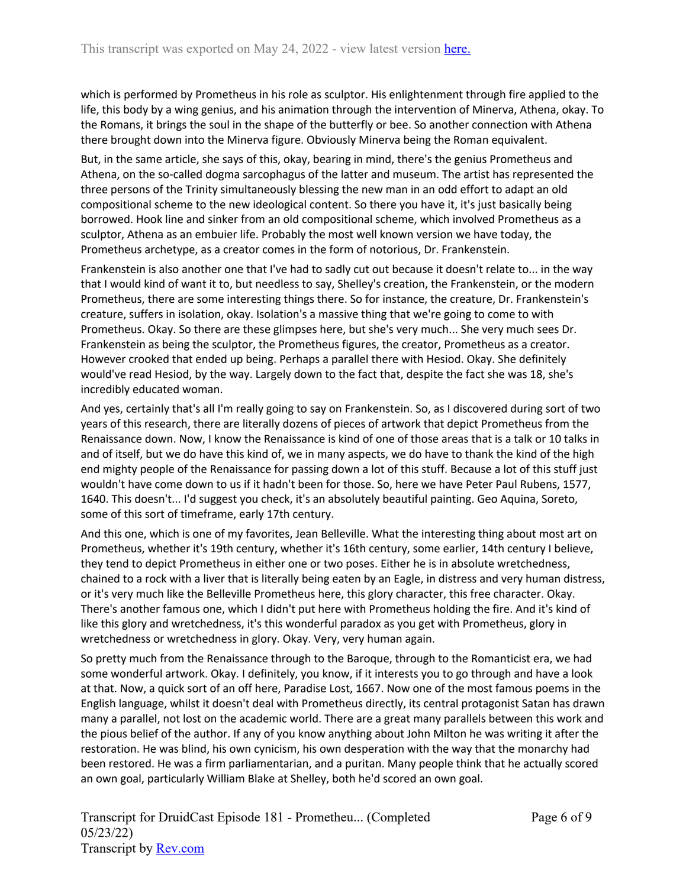which is performed by Prometheus in his role as sculptor. His enlightenment through fire applied to the life, this body by a wing genius, and his animation through the intervention of Minerva, Athena, okay. To the Romans, it brings the soul in the shape of the butterfly or bee. So another connection with Athena there brought down into the Minerva figure. Obviously Minerva being the Roman equivalent.

But, in the same article, she says of this, okay, bearing in mind, there's the genius Prometheus and Athena, on the so-called dogma sarcophagus of the latter and museum. The artist has represented the three persons of the Trinity simultaneously blessing the new man in an odd effort to adapt an old compositional scheme to the new ideological content. So there you have it, it's just basically being borrowed. Hook line and sinker from an old compositional scheme, which involved Prometheus as a sculptor, Athena as an embuier life. Probably the most well known version we have today, the Prometheus archetype, as a creator comes in the form of notorious, Dr. Frankenstein.

Frankenstein is also another one that I've had to sadly cut out because it doesn't relate to... in the way that I would kind of want it to, but needless to say, Shelley's creation, the Frankenstein, or the modern Prometheus, there are some interesting things there. So for instance, the creature, Dr. Frankenstein's creature, suffers in isolation, okay. Isolation's a massive thing that we're going to come to with Prometheus. Okay. So there are these glimpses here, but she's very much... She very much sees Dr. Frankenstein as being the sculptor, the Prometheus figures, the creator, Prometheus as a creator. However crooked that ended up being. Perhaps a parallel there with Hesiod. Okay. She definitely would've read Hesiod, by the way. Largely down to the fact that, despite the fact she was 18, she's incredibly educated woman.

And yes, certainly that's all I'm really going to say on Frankenstein. So, as I discovered during sort of two years of this research, there are literally dozens of pieces of artwork that depict Prometheus from the Renaissance down. Now, I know the Renaissance is kind of one of those areas that is a talk or 10 talks in and of itself, but we do have this kind of, we in many aspects, we do have to thank the kind of the high end mighty people of the Renaissance for passing down a lot of this stuff. Because a lot of this stuff just wouldn't have come down to us if it hadn't been for those. So, here we have Peter Paul Rubens, 1577, 1640. This doesn't... I'd suggest you check, it's an absolutely beautiful painting. Geo Aquina, Soreto, some of this sort of timeframe, early 17th century.

And this one, which is one of my favorites, Jean Belleville. What the interesting thing about most art on Prometheus, whether it's 19th century, whether it's 16th century, some earlier, 14th century I believe, they tend to depict Prometheus in either one or two poses. Either he is in absolute wretchedness, chained to a rock with a liver that is literally being eaten by an Eagle, in distress and very human distress, or it's very much like the Belleville Prometheus here, this glory character, this free character. Okay. There's another famous one, which I didn't put here with Prometheus holding the fire. And it's kind of like this glory and wretchedness, it's this wonderful paradox as you get with Prometheus, glory in wretchedness or wretchedness in glory. Okay. Very, very human again.

So pretty much from the Renaissance through to the Baroque, through to the Romanticist era, we had some wonderful artwork. Okay. I definitely, you know, if it interests you to go through and have a look at that. Now, a quick sort of an off here, Paradise Lost, 1667. Now one of the most famous poems in the English language, whilst it doesn't deal with Prometheus directly, its central protagonist Satan has drawn many a parallel, not lost on the academic world. There are a great many parallels between this work and the pious belief of the author. If any of you know anything about John Milton he was writing it after the restoration. He was blind, his own cynicism, his own desperation with the way that the monarchy had been restored. He was a firm parliamentarian, and a puritan. Many people think that he actually scored an own goal, particularly William Blake at Shelley, both he'd scored an own goal.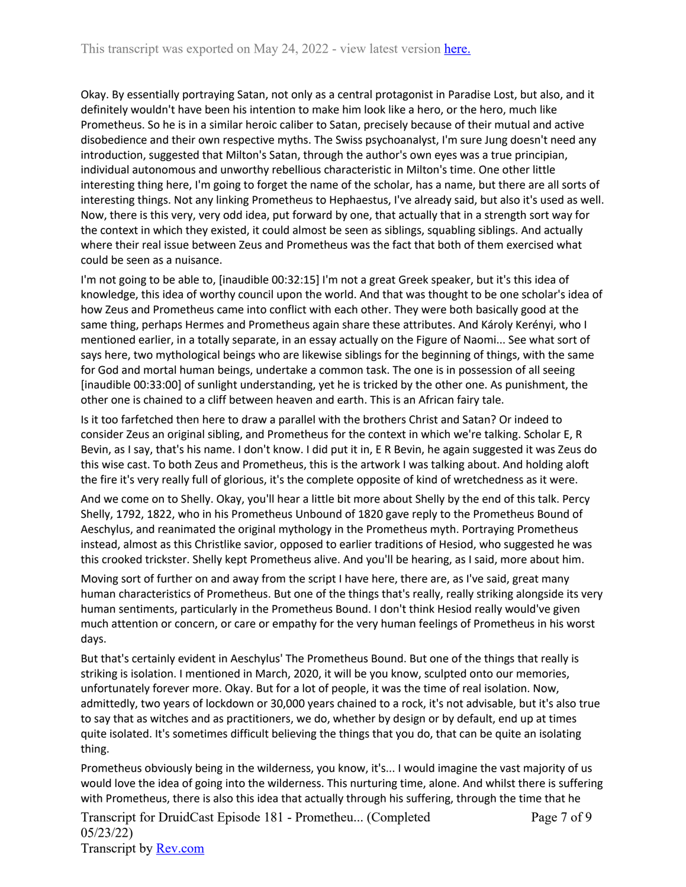Okay. By essentially portraying Satan, not only as a central protagonist in Paradise Lost, but also, and it definitely wouldn't have been his intention to make him look like a hero, or the hero, much like Prometheus. So he is in a similar heroic caliber to Satan, precisely because of their mutual and active disobedience and their own respective myths. The Swiss psychoanalyst, I'm sure Jung doesn't need any introduction, suggested that Milton's Satan, through the author's own eyes was a true principian, individual autonomous and unworthy rebellious characteristic in Milton's time. One other little interesting thing here, I'm going to forget the name of the scholar, has a name, but there are all sorts of interesting things. Not any linking Prometheus to Hephaestus, I've already said, but also it's used as well. Now, there is this very, very odd idea, put forward by one, that actually that in a strength sort way for the context in which they existed, it could almost be seen as siblings, squabling siblings. And actually where their real issue between Zeus and Prometheus was the fact that both of them exercised what could be seen as a nuisance.

I'm not going to be able to, [inaudible 00:32:15] I'm not a great Greek speaker, but it's this idea of knowledge, this idea of worthy council upon the world. And that was thought to be one scholar's idea of how Zeus and Prometheus came into conflict with each other. They were both basically good at the same thing, perhaps Hermes and Prometheus again share these attributes. And Károly Kerényi, who I mentioned earlier, in a totally separate, in an essay actually on the Figure of Naomi... See what sort of says here, two mythological beings who are likewise siblings for the beginning of things, with the same for God and mortal human beings, undertake a common task. The one is in possession of all seeing [inaudible 00:33:00] of sunlight understanding, yet he is tricked by the other one. As punishment, the other one is chained to a cliff between heaven and earth. This is an African fairy tale.

Is it too farfetched then here to draw a parallel with the brothers Christ and Satan? Or indeed to consider Zeus an original sibling, and Prometheus for the context in which we're talking. Scholar E, R Bevin, as I say, that's his name. I don't know. I did put it in, E R Bevin, he again suggested it was Zeus do this wise cast. To both Zeus and Prometheus, this is the artwork I was talking about. And holding aloft the fire it's very really full of glorious, it's the complete opposite of kind of wretchedness as it were.

And we come on to Shelly. Okay, you'll hear a little bit more about Shelly by the end of this talk. Percy Shelly, 1792, 1822, who in his Prometheus Unbound of 1820 gave reply to the Prometheus Bound of Aeschylus, and reanimated the original mythology in the Prometheus myth. Portraying Prometheus instead, almost as this Christlike savior, opposed to earlier traditions of Hesiod, who suggested he was this crooked trickster. Shelly kept Prometheus alive. And you'll be hearing, as I said, more about him.

Moving sort of further on and away from the script I have here, there are, as I've said, great many human characteristics of Prometheus. But one of the things that's really, really striking alongside its very human sentiments, particularly in the Prometheus Bound. I don't think Hesiod really would've given much attention or concern, or care or empathy for the very human feelings of Prometheus in his worst days.

But that's certainly evident in Aeschylus' The Prometheus Bound. But one of the things that really is striking is isolation. I mentioned in March, 2020, it will be you know, sculpted onto our memories, unfortunately forever more. Okay. But for a lot of people, it was the time of real isolation. Now, admittedly, two years of lockdown or 30,000 years chained to a rock, it's not advisable, but it's also true to say that as witches and as practitioners, we do, whether by design or by default, end up at times quite isolated. It's sometimes difficult believing the things that you do, that can be quite an isolating thing.

Prometheus obviously being in the wilderness, you know, it's... I would imagine the vast majority of us would love the idea of going into the wilderness. This nurturing time, alone. And whilst there is suffering with Prometheus, there is also this idea that actually through his suffering, through the time that he

Page 7 of 9

Transcript for DruidCast Episode 181 - Prometheu... (Completed 05/23/22) Transcript by [Rev.com](https://www.rev.com/)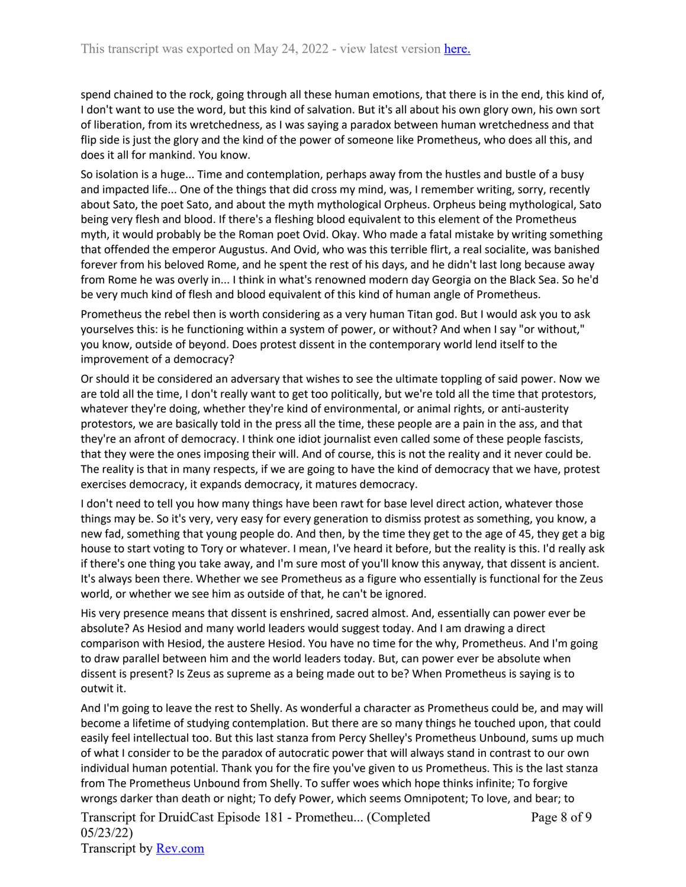spend chained to the rock, going through all these human emotions, that there is in the end, this kind of, I don't want to use the word, but this kind of salvation. But it's all about his own glory own, his own sort of liberation, from its wretchedness, as I was saying a paradox between human wretchedness and that flip side is just the glory and the kind of the power of someone like Prometheus, who does all this, and does it all for mankind. You know.

So isolation is a huge... Time and contemplation, perhaps away from the hustles and bustle of a busy and impacted life... One of the things that did cross my mind, was, I remember writing, sorry, recently about Sato, the poet Sato, and about the myth mythological Orpheus. Orpheus being mythological, Sato being very flesh and blood. If there's a fleshing blood equivalent to this element of the Prometheus myth, it would probably be the Roman poet Ovid. Okay. Who made a fatal mistake by writing something that offended the emperor Augustus. And Ovid, who was this terrible flirt, a real socialite, was banished forever from his beloved Rome, and he spent the rest of his days, and he didn't last long because away from Rome he was overly in... I think in what's renowned modern day Georgia on the Black Sea. So he'd be very much kind of flesh and blood equivalent of this kind of human angle of Prometheus.

Prometheus the rebel then is worth considering as a very human Titan god. But I would ask you to ask yourselves this: is he functioning within a system of power, or without? And when I say "or without," you know, outside of beyond. Does protest dissent in the contemporary world lend itself to the improvement of a democracy?

Or should it be considered an adversary that wishes to see the ultimate toppling of said power. Now we are told all the time, I don't really want to get too politically, but we're told all the time that protestors, whatever they're doing, whether they're kind of environmental, or animal rights, or anti-austerity protestors, we are basically told in the press all the time, these people are a pain in the ass, and that they're an afront of democracy. I think one idiot journalist even called some of these people fascists, that they were the ones imposing their will. And of course, this is not the reality and it never could be. The reality is that in many respects, if we are going to have the kind of democracy that we have, protest exercises democracy, it expands democracy, it matures democracy.

I don't need to tell you how many things have been rawt for base level direct action, whatever those things may be. So it's very, very easy for every generation to dismiss protest as something, you know, a new fad, something that young people do. And then, by the time they get to the age of 45, they get a big house to start voting to Tory or whatever. I mean, I've heard it before, but the reality is this. I'd really ask if there's one thing you take away, and I'm sure most of you'll know this anyway, that dissent is ancient. It's always been there. Whether we see Prometheus as a figure who essentially is functional for the Zeus world, or whether we see him as outside of that, he can't be ignored.

His very presence means that dissent is enshrined, sacred almost. And, essentially can power ever be absolute? As Hesiod and many world leaders would suggest today. And I am drawing a direct comparison with Hesiod, the austere Hesiod. You have no time for the why, Prometheus. And I'm going to draw parallel between him and the world leaders today. But, can power ever be absolute when dissent is present? Is Zeus as supreme as a being made out to be? When Prometheus is saying is to outwit it.

And I'm going to leave the rest to Shelly. As wonderful a character as Prometheus could be, and may will become a lifetime of studying contemplation. But there are so many things he touched upon, that could easily feel intellectual too. But this last stanza from Percy Shelley's Prometheus Unbound, sums up much of what I consider to be the paradox of autocratic power that will always stand in contrast to our own individual human potential. Thank you for the fire you've given to us Prometheus. This is the last stanza from The Prometheus Unbound from Shelly. To suffer woes which hope thinks infinite; To forgive wrongs darker than death or night; To defy Power, which seems Omnipotent; To love, and bear; to

Transcript for DruidCast Episode 181 - Prometheu... (Completed 05/23/22) Transcript by [Rev.com](https://www.rev.com/) Page 8 of 9